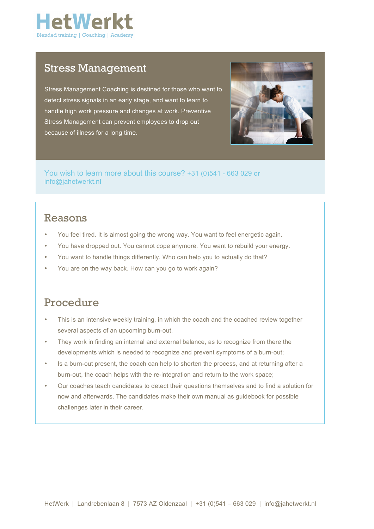

### Stress Management

Stress Management Coaching is destined for those who want to detect stress signals in an early stage, and want to learn to handle high work pressure and changes at work. Preventive Stress Management can prevent employees to drop out because of illness for a long time.



You wish to learn more about this course? +31 (0)541 - 663 029 or info@jahetwerkt.nl

## Reasons

- You feel tired. It is almost going the wrong way. You want to feel energetic again.
- You have dropped out. You cannot cope anymore. You want to rebuild your energy.
- You want to handle things differently. Who can help you to actually do that?
- You are on the way back. How can you go to work again?

### Procedure

- This is an intensive weekly training, in which the coach and the coached review together several aspects of an upcoming burn-out.
- They work in finding an internal and external balance, as to recognize from there the developments which is needed to recognize and prevent symptoms of a burn-out;
- Is a burn-out present, the coach can help to shorten the process, and at returning after a burn-out, the coach helps with the re-integration and return to the work space;
- Our coaches teach candidates to detect their questions themselves and to find a solution for now and afterwards. The candidates make their own manual as guidebook for possible challenges later in their career.